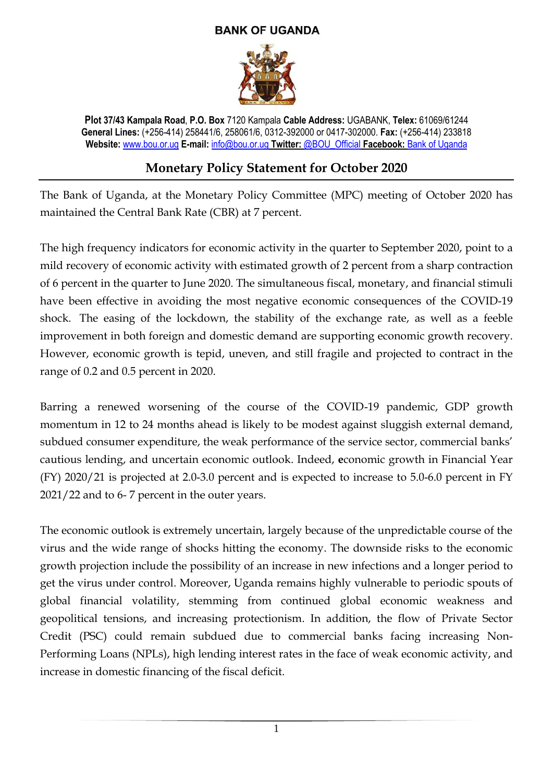## **BANK OF UGANDA**



**Plot 37/43 Kampala Road**, **P.O. Box** 7120 Kampala **Cable Address:** UGABANK, **Telex:** 61069/61244 **General Lines:** (+256-414) 258441/6, 258061/6, 0312-392000 or 0417-302000. **Fax:** (+256-414) 233818 **Website:** [www.bou.or.ug](http://www.bou.or.ug/) **E-mail:** [info@bou.or.ug](mailto:info@bou.or.ug) **Twitter:** @BOU\_Official **Facebook:** Bank of Uganda

## **Monetary Policy Statement for October 2020**

The Bank of Uganda, at the Monetary Policy Committee (MPC) meeting of October 2020 has maintained the Central Bank Rate (CBR) at 7 percent.

The high frequency indicators for economic activity in the quarter to September 2020, point to a mild recovery of economic activity with estimated growth of 2 percent from a sharp contraction of 6 percent in the quarter to June 2020. The simultaneous fiscal, monetary, and financial stimuli have been effective in avoiding the most negative economic consequences of the COVID-19 shock. The easing of the lockdown, the stability of the exchange rate, as well as a feeble improvement in both foreign and domestic demand are supporting economic growth recovery. However, economic growth is tepid, uneven, and still fragile and projected to contract in the range of 0.2 and 0.5 percent in 2020.

Barring a renewed worsening of the course of the COVID-19 pandemic, GDP growth momentum in 12 to 24 months ahead is likely to be modest against sluggish external demand, subdued consumer expenditure, the weak performance of the service sector, commercial banks' cautious lending, and uncertain economic outlook. Indeed, **e**conomic growth in Financial Year (FY) 2020/21 is projected at 2.0-3.0 percent and is expected to increase to 5.0-6.0 percent in FY 2021/22 and to 6- 7 percent in the outer years.

The economic outlook is extremely uncertain, largely because of the unpredictable course of the virus and the wide range of shocks hitting the economy. The downside risks to the economic growth projection include the possibility of an increase in new infections and a longer period to get the virus under control. Moreover, Uganda remains highly vulnerable to periodic spouts of global financial volatility, stemming from continued global economic weakness and geopolitical tensions, and increasing protectionism. In addition, the flow of Private Sector Credit (PSC) could remain subdued due to commercial banks facing increasing Non-Performing Loans (NPLs), high lending interest rates in the face of weak economic activity, and increase in domestic financing of the fiscal deficit.